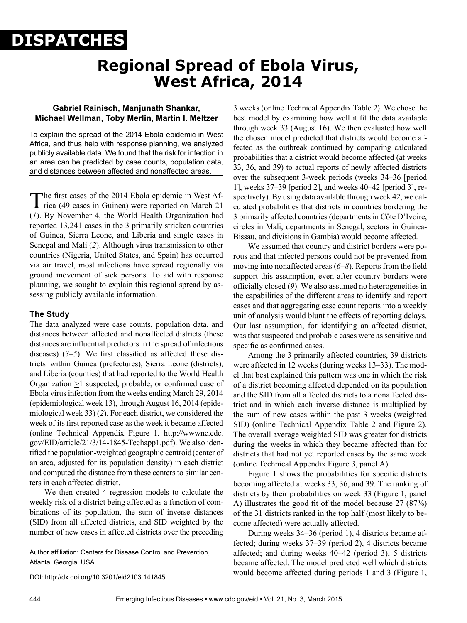# **DISPATCHES**

# **Regional Spread of Ebola Virus, West Africa, 2014**

# **Gabriel Rainisch, Manjunath Shankar, Michael Wellman, Toby Merlin, Martin I. Meltzer**

To explain the spread of the 2014 Ebola epidemic in West Africa, and thus help with response planning, we analyzed publicly available data. We found that the risk for infection in an area can be predicted by case counts, population data, and distances between affected and nonaffected areas.

The first cases of the 2014 Ebola epidemic in West Africa (49 cases in Guinea) were reported on March 21 (*1*). By November 4, the World Health Organization had reported 13,241 cases in the 3 primarily stricken countries of Guinea, Sierra Leone, and Liberia and single cases in Senegal and Mali (*2*). Although virus transmission to other countries (Nigeria, United States, and Spain) has occurred via air travel, most infections have spread regionally via ground movement of sick persons. To aid with response planning, we sought to explain this regional spread by assessing publicly available information.

# **The Study**

The data analyzed were case counts, population data, and distances between affected and nonaffected districts (these distances are influential predictors in the spread of infectious diseases) (*3*–*5*). We first classified as affected those districts within Guinea (prefectures), Sierra Leone (districts), and Liberia (counties) that had reported to the World Health Organization >1 suspected, probable, or confirmed case of Ebola virus infection from the weeks ending March 29, 2014 (epidemiological week 13), through August 16, 2014 (epidemiological week 33) (*2*). For each district, we considered the week of its first reported case as the week it became affected (online Technical Appendix Figure 1, http://wwwnc.cdc. gov/EID/article/21/3/14-1845-Techapp1.pdf). We also identified the population-weighted geographic centroid(center of an area, adjusted for its population density) in each district and computed the distance from these centers to similar centers in each affected district.

We then created 4 regression models to calculate the weekly risk of a district being affected as a function of combinations of its population, the sum of inverse distances (SID) from all affected districts, and SID weighted by the number of new cases in affected districts over the preceding

Author affiliation: Centers for Disease Control and Prevention, Atlanta, Georgia, USA

DOI: http://dx.doi.org/10.3201/eid2103.141845

3 weeks (online Technical Appendix Table 2). We chose the best model by examining how well it fit the data available through week 33 (August 16). We then evaluated how well the chosen model predicted that districts would become affected as the outbreak continued by comparing calculated probabilities that a district would become affected (at weeks 33, 36, and 39) to actual reports of newly affected districts over the subsequent 3-week periods (weeks 34–36 [period 1], weeks 37–39 [period 2], and weeks 40–42 [period 3], respectively). By using data available through week 42, we calculated probabilities that districts in countries bordering the 3 primarily affected countries (departments in Côte D'Ivoire, circles in Mali, departments in Senegal, sectors in Guinea-Bissau, and divisions in Gambia) would become affected.

We assumed that country and district borders were porous and that infected persons could not be prevented from moving into nonaffected areas (*6*–*8*). Reports from the field support this assumption, even after country borders were officially closed (*9*). We also assumed no heterogeneities in the capabilities of the different areas to identify and report cases and that aggregating case count reports into a weekly unit of analysis would blunt the effects of reporting delays. Our last assumption, for identifying an affected district, was that suspected and probable cases were as sensitive and specific as confirmed cases.

Among the 3 primarily affected countries, 39 districts were affected in 12 weeks (during weeks 13–33). The model that best explained this pattern was one in which the risk of a district becoming affected depended on its population and the SID from all affected districts to a nonaffected district and in which each inverse distance is multiplied by the sum of new cases within the past 3 weeks (weighted SID) (online Technical Appendix Table 2 and Figure 2). The overall average weighted SID was greater for districts during the weeks in which they became affected than for districts that had not yet reported cases by the same week (online Technical Appendix Figure 3, panel A).

Figure 1 shows the probabilities for specific districts becoming affected at weeks 33, 36, and 39. The ranking of districts by their probabilities on week 33 (Figure 1, panel A) illustrates the good fit of the model because 27 (87%) of the 31 districts ranked in the top half (most likely to become affected) were actually affected.

During weeks 34–36 (period 1), 4 districts became affected; during weeks 37–39 (period 2), 4 districts became affected; and during weeks 40–42 (period 3), 5 districts became affected. The model predicted well which districts would become affected during periods 1 and 3 (Figure 1,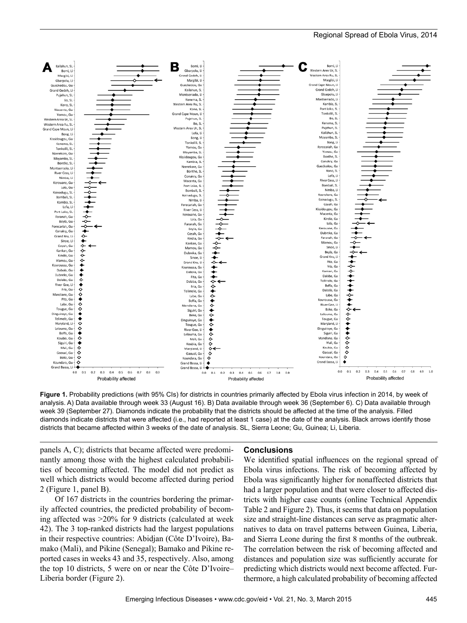

**Figure 1.** Probability predictions (with 95% CIs) for districts in countries primarily affected by Ebola virus infection in 2014, by week of analysis. A) Data available through week 33 (August 16). B) Data available through week 36 (September 6). C) Data available through week 39 (September 27). Diamonds indicate the probability that the districts should be affected at the time of the analysis. Filled diamonds indicate districts that were affected (i.e., had reported at least 1 case) at the date of the analysis. Black arrows identify those districts that became affected within 3 weeks of the date of analysis. SL, Sierra Leone; Gu, Guinea; Li, Liberia.

panels A, C); districts that became affected were predominantly among those with the highest calculated probabilities of becoming affected. The model did not predict as well which districts would become affected during period 2 (Figure 1, panel B).

Of 167 districts in the countries bordering the primarily affected countries, the predicted probability of becoming affected was >20% for 9 districts (calculated at week 42). The 3 top-ranked districts had the largest populations in their respective countries: Abidjan (Côte D'Ivoire), Bamako (Mali), and Pikine (Senegal); Bamako and Pikine reported cases in weeks 43 and 35, respectively. Also, among the top 10 districts, 5 were on or near the Côte D'Ivoire– Liberia border (Figure 2).

#### **Conclusions**

We identified spatial influences on the regional spread of Ebola virus infections. The risk of becoming affected by Ebola was significantly higher for nonaffected districts that had a larger population and that were closer to affected districts with higher case counts (online Technical Appendix Table 2 and Figure 2). Thus, it seems that data on population size and straight-line distances can serve as pragmatic alternatives to data on travel patterns between Guinea, Liberia, and Sierra Leone during the first 8 months of the outbreak. The correlation between the risk of becoming affected and distances and population size was sufficiently accurate for predicting which districts would next become affected. Furthermore, a high calculated probability of becoming affected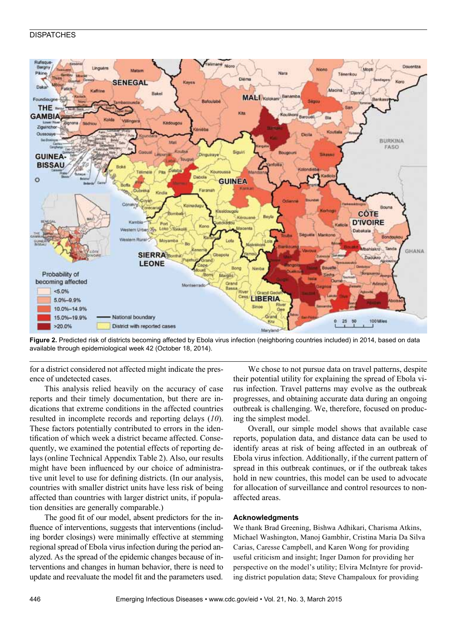# **DISPATCHES**



Figure 2. Predicted risk of districts becoming affected by Ebola virus infection (neighboring countries included) in 2014, based on data available through epidemiological week 42 (October 18, 2014).

for a district considered not affected might indicate the presence of undetected cases.

This analysis relied heavily on the accuracy of case reports and their timely documentation, but there are indications that extreme conditions in the affected countries resulted in incomplete records and reporting delays (*10*). These factors potentially contributed to errors in the identification of which week a district became affected. Consequently, we examined the potential effects of reporting delays (online Technical Appendix Table 2). Also, our results might have been influenced by our choice of administrative unit level to use for defining districts. (In our analysis, countries with smaller district units have less risk of being affected than countries with larger district units, if population densities are generally comparable.)

The good fit of our model, absent predictors for the influence of interventions, suggests that interventions (including border closings) were minimally effective at stemming regional spread of Ebola virus infection during the period analyzed. As the spread of the epidemic changes because of interventions and changes in human behavior, there is need to update and reevaluate the model fit and the parameters used.

We chose to not pursue data on travel patterns, despite their potential utility for explaining the spread of Ebola virus infection. Travel patterns may evolve as the outbreak progresses, and obtaining accurate data during an ongoing outbreak is challenging. We, therefore, focused on producing the simplest model.

Overall, our simple model shows that available case reports, population data, and distance data can be used to identify areas at risk of being affected in an outbreak of Ebola virus infection. Additionally, if the current pattern of spread in this outbreak continues, or if the outbreak takes hold in new countries, this model can be used to advocate for allocation of surveillance and control resources to nonaffected areas.

#### **Acknowledgments**

We thank Brad Greening, Bishwa Adhikari, Charisma Atkins, Michael Washington, Manoj Gambhir, Cristina Maria Da Silva Carias, Caresse Campbell, and Karen Wong for providing useful criticism and insight; Inger Damon for providing her perspective on the model's utility; Elvira McIntyre for providing district population data; Steve Champaloux for providing